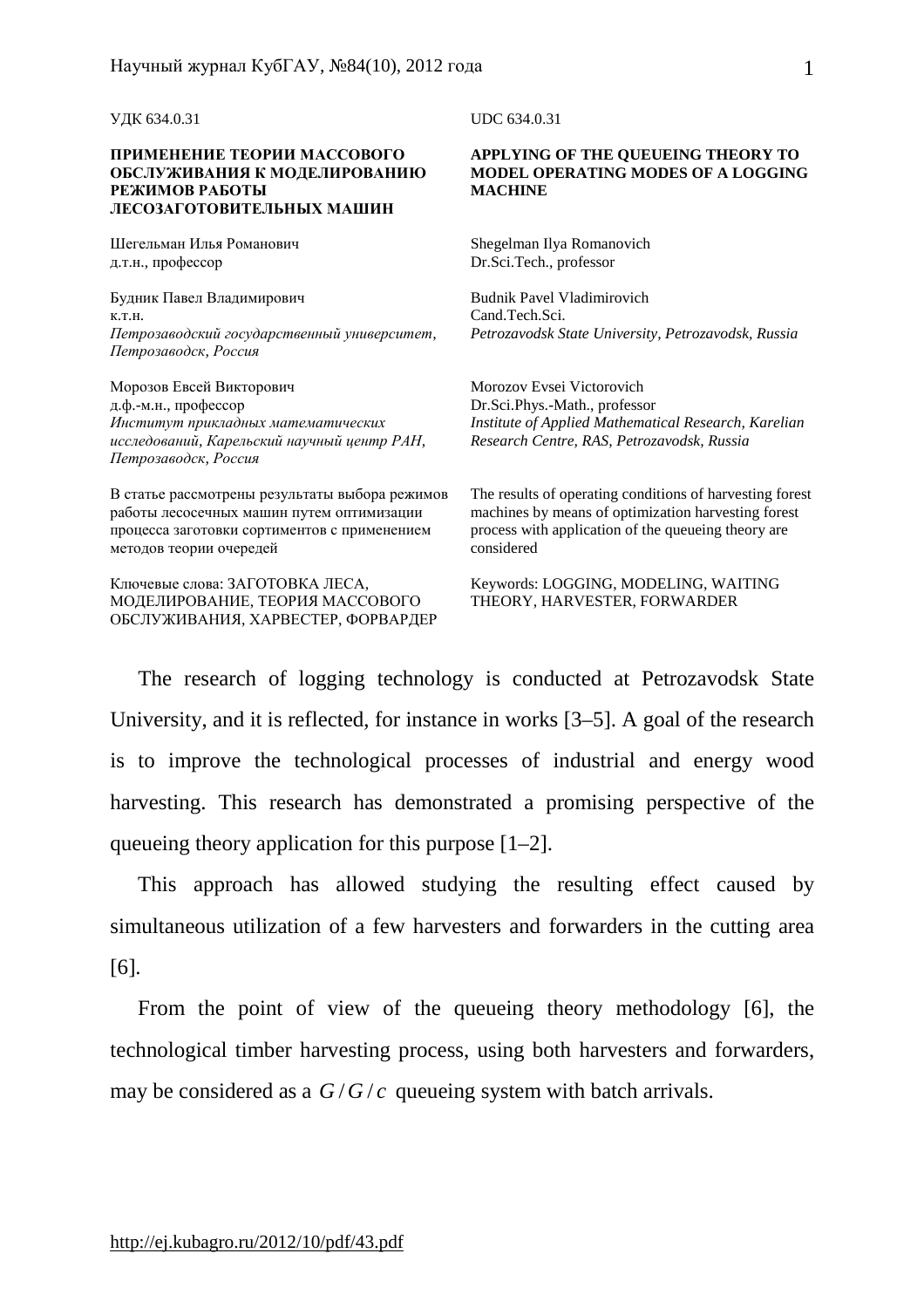УДК 634.0.31

## **ПРИМЕНЕНИЕ ТЕОРИИ МАССОВОГО ОБСЛУЖИВАНИЯ К МОДЕЛИРОВАНИЮ РЕЖИМОВ РАБОТЫ ЛЕСОЗАГОТОВИТЕЛЬНЫХ МАШИН**

Шегельман Илья Романович д.т.н., профессор

Будник Павел Владимирович к.т.н. *Петрозаводский государственный университет, Петрозаводск, Россия*

Морозов Евсей Викторович д.ф.-м.н., профессор *Институт прикладных математических исследований, Карельский научный центр РАН, Петрозаводск, Россия*

В статье рассмотрены результаты выбора режимов работы лесосечных машин путем оптимизации процесса заготовки сортиментов с применением методов теории очередей

Ключевые слова: ЗАГОТОВКА ЛЕСА, МОДЕЛИРОВАНИЕ, ТЕОРИЯ МАССОВОГО ОБСЛУЖИВАНИЯ, ХАРВЕСТЕР, ФОРВАРДЕР UDC 634.0.31

## **APPLYING OF THE QUEUEING THEORY TO MODEL OPERATING MODES OF A LOGGING MACHINE**

Shegelman Ilya Romanovich Dr.Sci.Tech., professor

Budnik Pavel Vladimirovich Cand.Tech.Sci. *Petrozavodsk State University, Petrozavodsk, Russia* 

Morozov Evsei Victorovich Dr.Sci.Phys.-Math., professor *Institute of Applied Mathematical Research, Karelian Research Centre, RAS, Petrozavodsk, Russia* 

The results of operating conditions of harvesting forest machines by means of optimization harvesting forest process with application of the queueing theory are considered

Keywords: LOGGING, MODELING, WAITING THEORY, HARVESTER, FORWARDER

The research of logging technology is conducted at Petrozavodsk State University, and it is reflected, for instance in works [3–5]. A goal of the research is to improve the technological processes of industrial and energy wood harvesting. This research has demonstrated a promising perspective of the queueing theory application for this purpose [1–2].

This approach has allowed studying the resulting effect caused by simultaneous utilization of a few harvesters and forwarders in the cutting area [6].

From the point of view of the queueing theory methodology [6], the technological timber harvesting process, using both harvesters and forwarders, may be considered as a *G*/*G*/*c* queueing system with batch arrivals.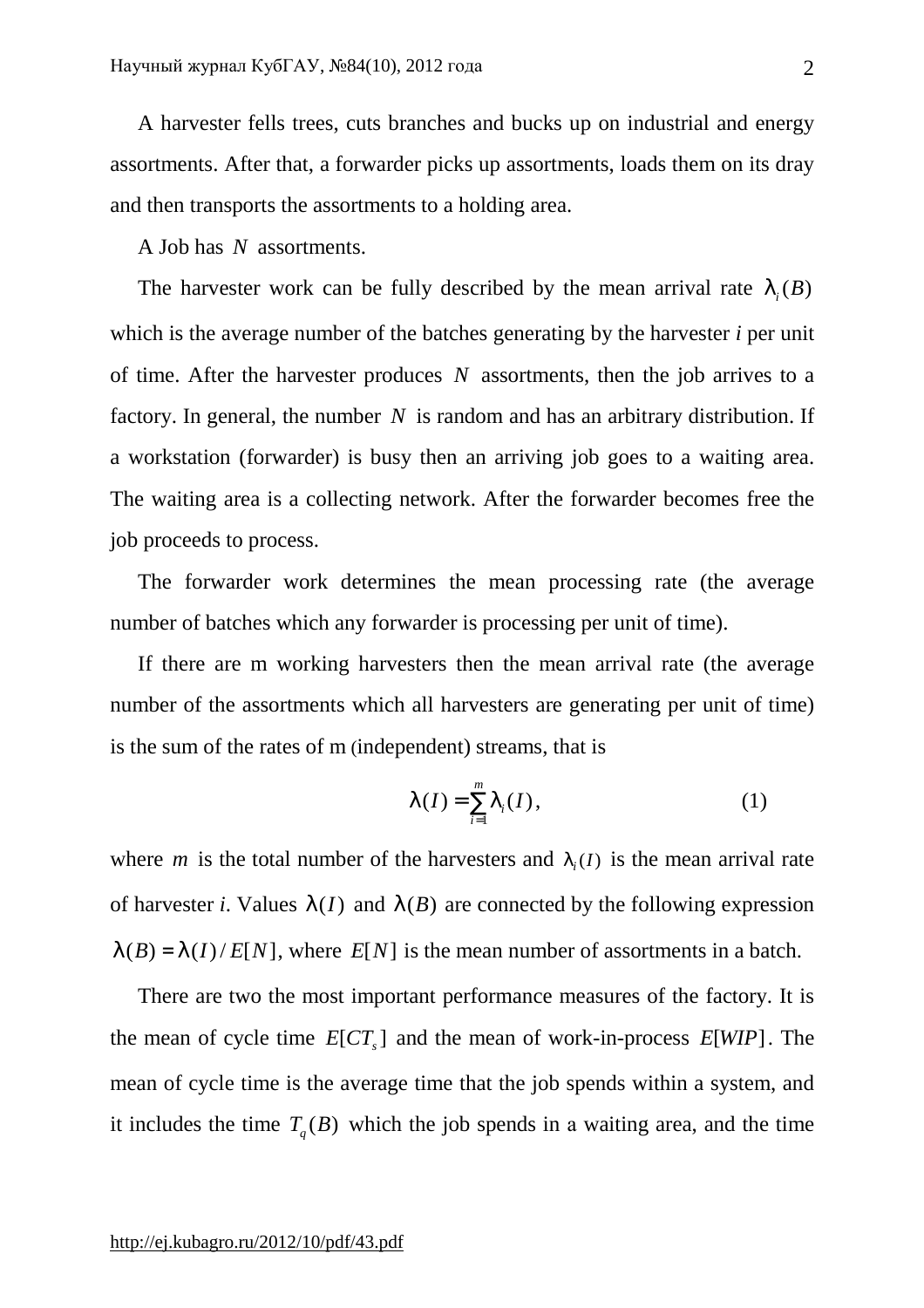A harvester fells trees, cuts branches and bucks up on industrial and energy assortments. After that, a forwarder picks up assortments, loads them on its dray and then transports the assortments to a holding area.

A Job has *N* assortments.

The harvester work can be fully described by the mean arrival rate  $I_i(B)$ which is the average number of the batches generating by the harvester *i* per unit of time. After the harvester produces *N* assortments, then the job arrives to a factory. In general, the number *N* is random and has an arbitrary distribution. If a workstation (forwarder) is busy then an arriving job goes to a waiting area. The waiting area is a collecting network. After the forwarder becomes free the job proceeds to process.

The forwarder work determines the mean processing rate (the average number of batches which any forwarder is processing per unit of time).

If there are m working harvesters then the mean arrival rate (the average number of the assortments which all harvesters are generating per unit of time) is the sum of the rates of m (independent) streams, that is

$$
I(I) = \sum_{i=1}^{m} I_i(I),
$$
 (1)

where *m* is the total number of the harvesters and  $I_i(I)$  is the mean arrival rate of harvester *i*. Values  $I(I)$  and  $I(B)$  are connected by the following expression  $I(B) = I(I)/E[N]$ , where  $E[N]$  is the mean number of assortments in a batch.

There are two the most important performance measures of the factory. It is the mean of cycle time  $E [ CT_s]$  and the mean of work-in-process  $E[WP]$ . The mean of cycle time is the average time that the job spends within a system, and it includes the time  $T_q(B)$  which the job spends in a waiting area, and the time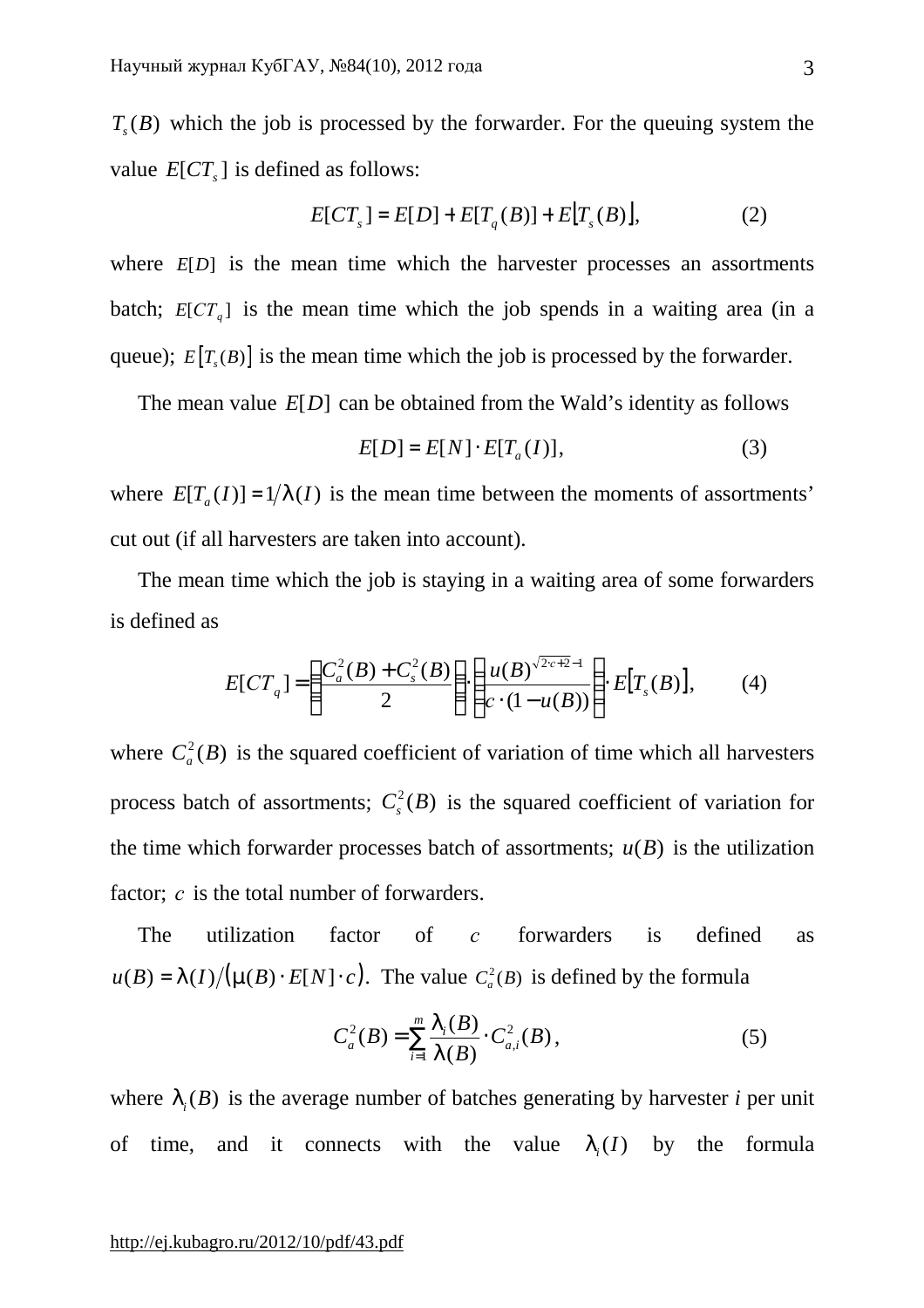$T<sub>s</sub>(B)$  which the job is processed by the forwarder. For the queuing system the value  $E[CT_s]$  is defined as follows:

$$
E[CT_s] = E[D] + E[T_q(B)] + E[T_s(B)],
$$
\n(2)

where  $E[D]$  is the mean time which the harvester processes an assortments batch;  $E [CT_q]$  is the mean time which the job spends in a waiting area (in a queue);  $E[T_s(B)]$  is the mean time which the job is processed by the forwarder.

The mean value *E*[*D*] can be obtained from the Wald's identity as follows

$$
E[D] = E[N] \cdot E[T_a(I)], \qquad (3)
$$

where  $E[T_a(I)] = 1/I(I)$  is the mean time between the moments of assortments' cut out (if all harvesters are taken into account).

The mean time which the job is staying in a waiting area of some forwarders is defined as

$$
E[CT_q] = \left(\frac{C_a^2(B) + C_s^2(B)}{2}\right) \cdot \left(\frac{u(B)^{\sqrt{2c+2}-1}}{c \cdot (1-u(B))}\right) \cdot E[T_s(B)],\tag{4}
$$

where  $C_a^2(B)$  is the squared coefficient of variation of time which all harvesters process batch of assortments;  $C_s^2(B)$  is the squared coefficient of variation for the time which forwarder processes batch of assortments;  $u(B)$  is the utilization factor: *c* is the total number of forwarders.

The utilization factor of *c* forwarders is defined as  $u(B) = \frac{I(I)}{(m(B) \cdot E[N] \cdot c)}$ . The value  $C_a^2(B)$  is defined by the formula

$$
C_a^2(B) = \sum_{i=1}^m \frac{I_i(B)}{I(B)} \cdot C_{a,i}^2(B), \qquad (5)
$$

where  $I_i(B)$  is the average number of batches generating by harvester *i* per unit of time, and it connects with the value  $I_i(I)$  by the formula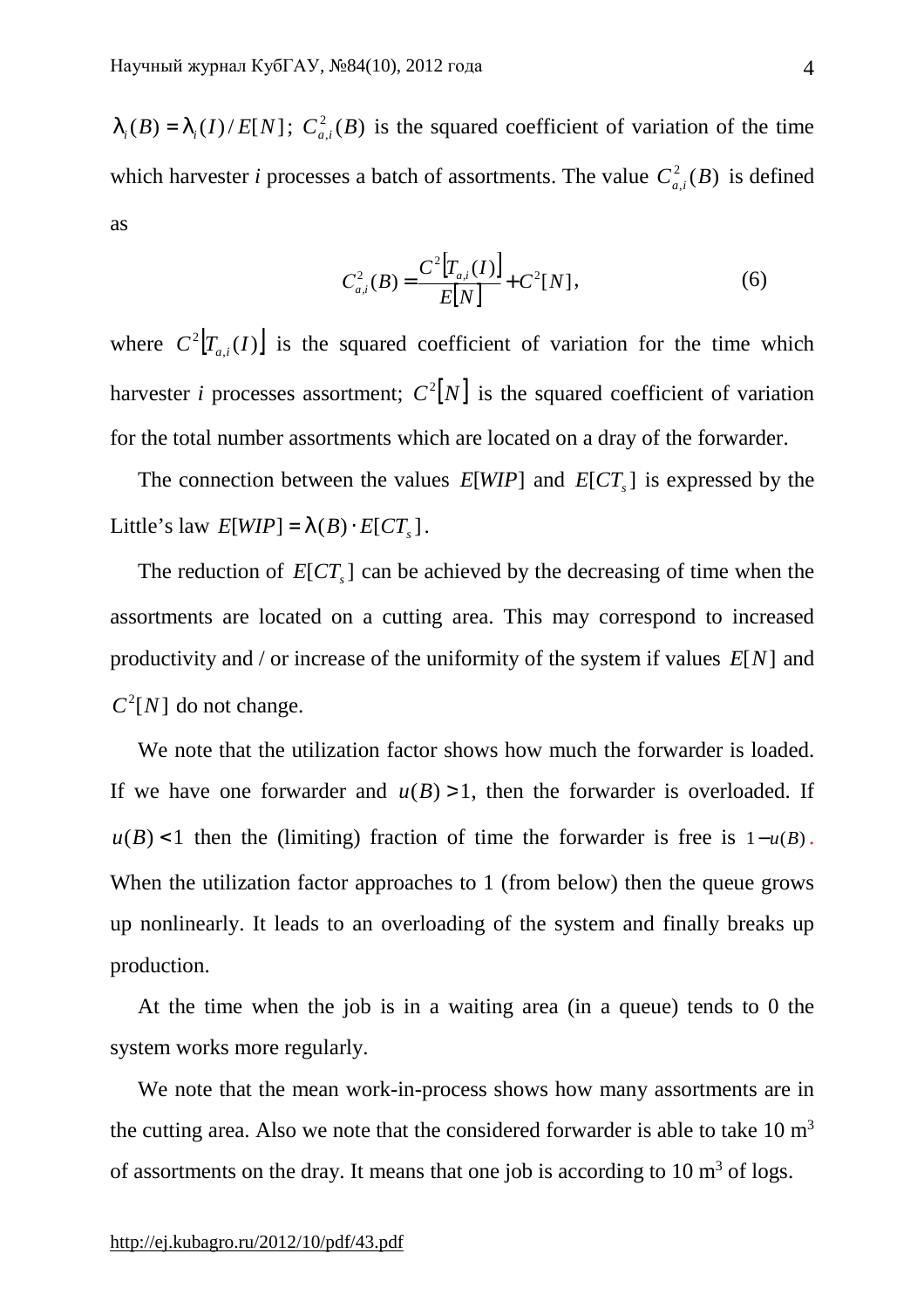$I_i(B) = I_i(I)/E[N]$ ;  $C_{a,i}^2(B)$  is the squared coefficient of variation of the time which harvester *i* processes a batch of assortments. The value  $C_{a,i}^2(B)$  is defined as

$$
C_{a,i}^{2}(B) = \frac{C^{2}[T_{a,i}(I)]}{E[N]} + C^{2}[N],
$$
\n(6)

where  $C^2[T_{a,i}(I)]$  is the squared coefficient of variation for the time which harvester *i* processes assortment;  $C^2[N]$  is the squared coefficient of variation for the total number assortments which are located on a dray of the forwarder.

The connection between the values  $E[WIP]$  and  $E[CT_s]$  is expressed by the Little's law  $E[WIP] = I(B) \cdot E[CT_{s}]$ .

The reduction of  $E [CT_s]$  can be achieved by the decreasing of time when the assortments are located on a cutting area. This may correspond to increased productivity and / or increase of the uniformity of the system if values *E*[*N*] and  $C^2[N]$  do not change.

We note that the utilization factor shows how much the forwarder is loaded. If we have one forwarder and  $u(B) > 1$ , then the forwarder is overloaded. If  $u(B)$  <1 then the (limiting) fraction of time the forwarder is free is  $1-u(B)$ . When the utilization factor approaches to 1 (from below) then the queue grows up nonlinearly. It leads to an overloading of the system and finally breaks up production.

At the time when the job is in a waiting area (in a queue) tends to 0 the system works more regularly.

We note that the mean work-in-process shows how many assortments are in the cutting area. Also we note that the considered forwarder is able to take  $10 \text{ m}^3$ of assortments on the dray. It means that one job is according to  $10 \text{ m}^3$  of logs.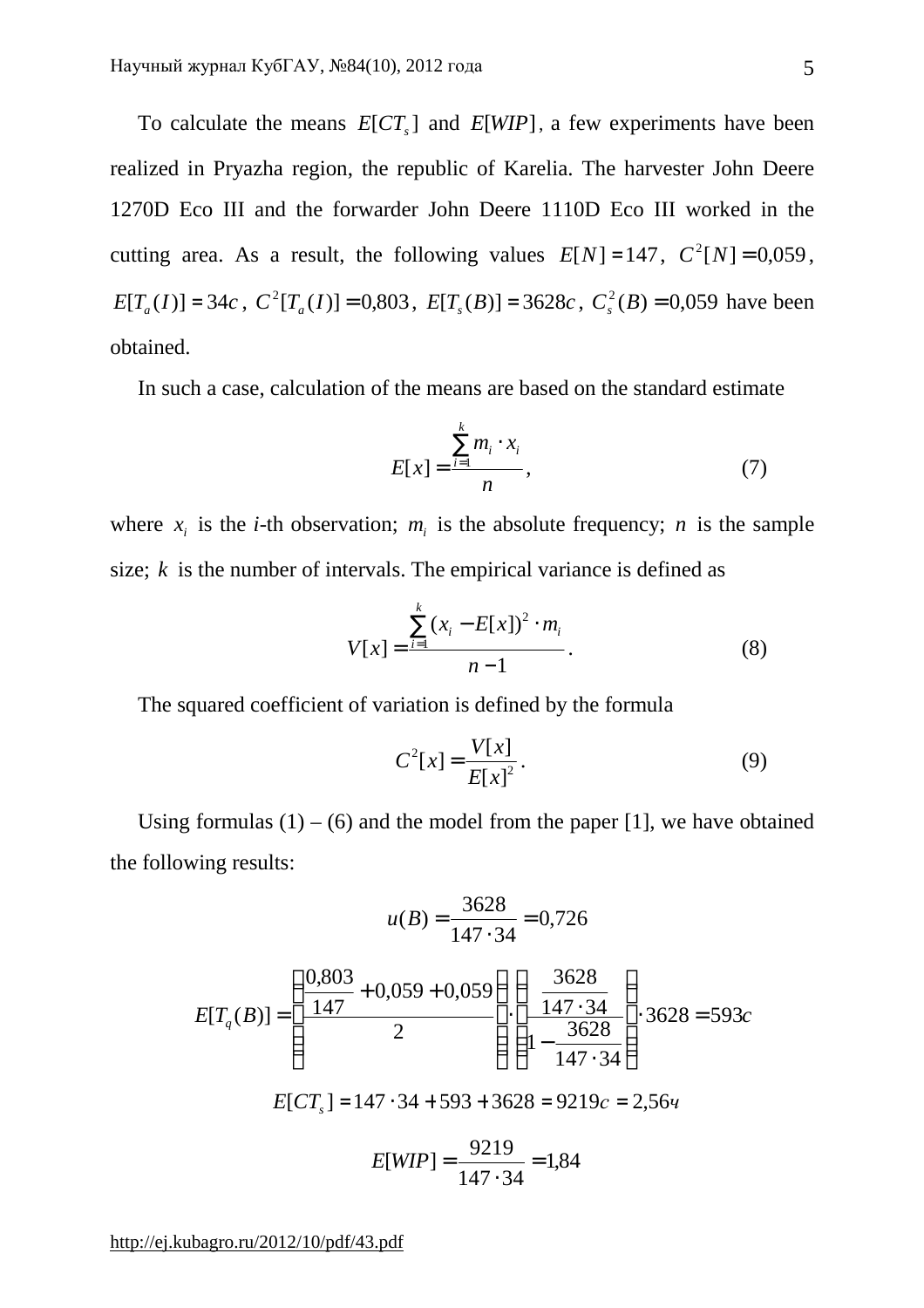To calculate the means  $E [CT_s]$  and  $E [WIP]$ , a few experiments have been realized in Pryazha region, the republic of Karelia. The harvester John Deere 1270D Eco III and the forwarder John Deere 1110D Eco III worked in the cutting area. As a result, the following values  $E[N] = 147$ ,  $C^2[N] = 0.059$ ,  $E[T_a(I)] = 34c$ ,  $C^2[T_a(I)] = 0,803$ ,  $E[T_s(B)] = 3628c$ ,  $C_s^2(B) = 0,059$  have been obtained.

In such a case, calculation of the means are based on the standard estimate

$$
E[x] = \frac{\sum_{i=1}^{k} m_i \cdot x_i}{n},
$$
\n(7)

where  $x_i$  is the *i*-th observation;  $m_i$  is the absolute frequency; *n* is the sample size; *k* is the number of intervals. The empirical variance is defined as

$$
V[x] = \frac{\sum_{i=1}^{k} (x_i - E[x])^2 \cdot m_i}{n-1}.
$$
 (8)

The squared coefficient of variation is defined by the formula

$$
C^{2}[x] = \frac{V[x]}{E[x]^{2}}.
$$
 (9)

Using formulas  $(1) - (6)$  and the model from the paper [1], we have obtained the following results:

$$
u(B) = \frac{3628}{147 \cdot 34} = 0,726
$$
  
\n
$$
E[T_q(B)] = \left(\frac{0,803}{147} + 0,059 + 0,059\right) \cdot \left(\frac{3628}{147 \cdot 34}\right) \cdot 3628 = 593c
$$
  
\n
$$
E[CT_s] = 147 \cdot 34 + 593 + 3628 = 9219c = 2,564
$$
  
\n
$$
E[WIP] = \frac{9219}{147 \cdot 34} = 1,84
$$

<http://ej.kubagro.ru/2012/10/pdf/43.pdf>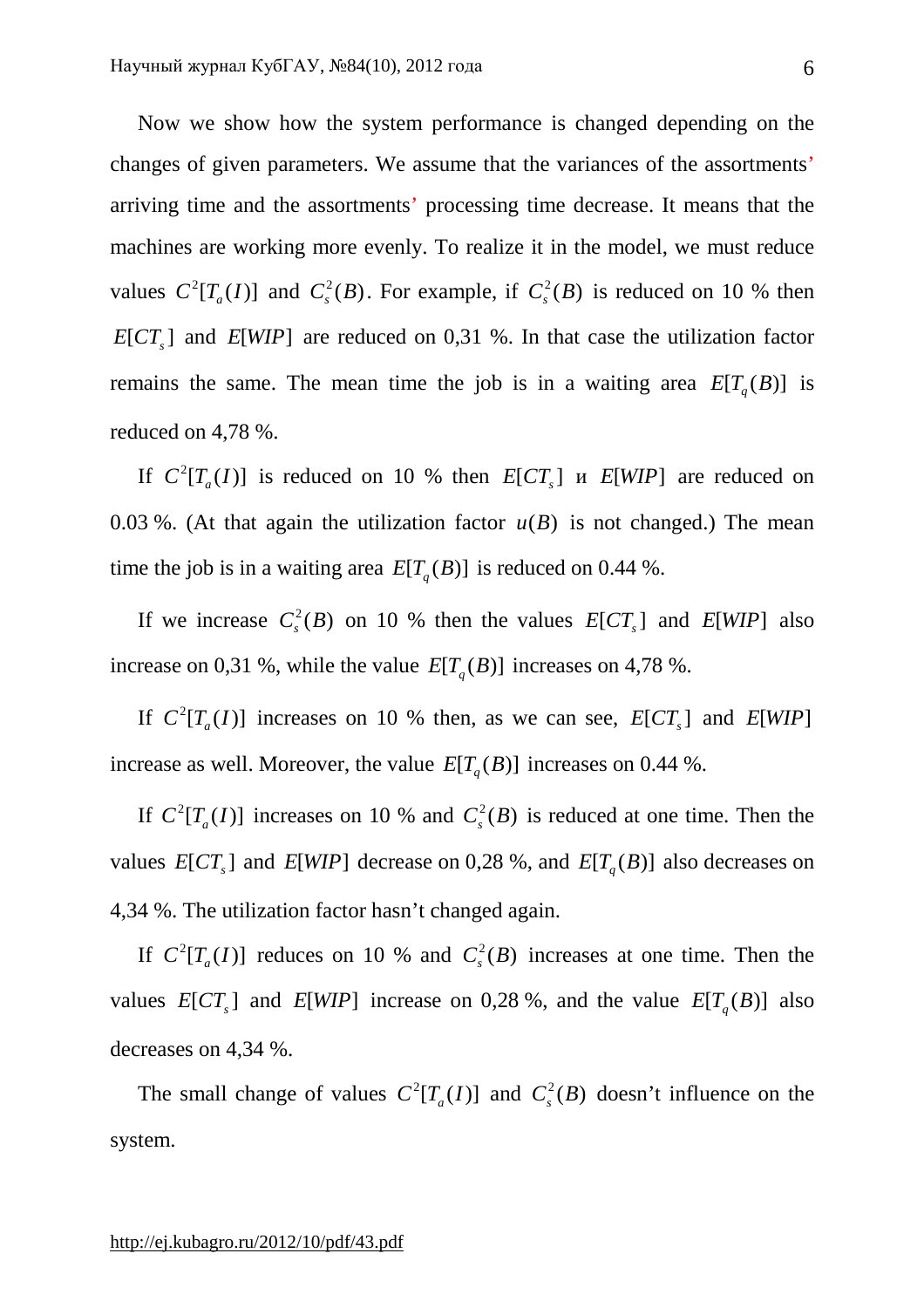Now we show how the system performance is changed depending on the changes of given parameters. We assume that the variances of the assortments' arriving time and the assortments' processing time decrease. It means that the machines are working more evenly. To realize it in the model, we must reduce values  $C^2[T_a(I)]$  and  $C_s^2(B)$ . For example, if  $C_s^2(B)$  is reduced on 10 % then  $E[CT_s]$  and  $E[WIP]$  are reduced on 0,31 %. In that case the utilization factor remains the same. The mean time the job is in a waiting area  $E[T_q(B)]$  is reduced on 4,78 %.

If  $C^2[T_a(I)]$  is reduced on 10 % then  $E[CT_s]$  *u*  $E[WIP]$  are reduced on 0.03 %. (At that again the utilization factor  $u(B)$  is not changed.) The mean time the job is in a waiting area  $E[T_q(B)]$  is reduced on 0.44 %.

If we increase  $C_s^2(B)$  on 10 % then the values  $E[CT_s]$  and  $E[WIP]$  also increase on 0,31 %, while the value  $E[T_q(B)]$  increases on 4,78 %.

If  $C^2[T_a(I)]$  increases on 10 % then, as we can see,  $E[CT_s]$  and  $E[WIP]$ increase as well. Moreover, the value  $E[T_q(B)]$  increases on 0.44 %.

If  $C^2[T_a(I)]$  increases on 10 % and  $C_s^2(B)$  is reduced at one time. Then the values  $E [CT_s]$  and  $E [WIP]$  decrease on 0,28 %, and  $E[T_q(B)]$  also decreases on 4,34 %. The utilization factor hasn't changed again.

If  $C^2[T_a(I)]$  reduces on 10 % and  $C_s^2(B)$  increases at one time. Then the values  $E[CT_s]$  and  $E[WP]$  increase on 0,28 %, and the value  $E[T_q(B)]$  also decreases on 4,34 %.

The small change of values  $C^2[T_a(I)]$  and  $C^2_s(B)$  doesn't influence on the system.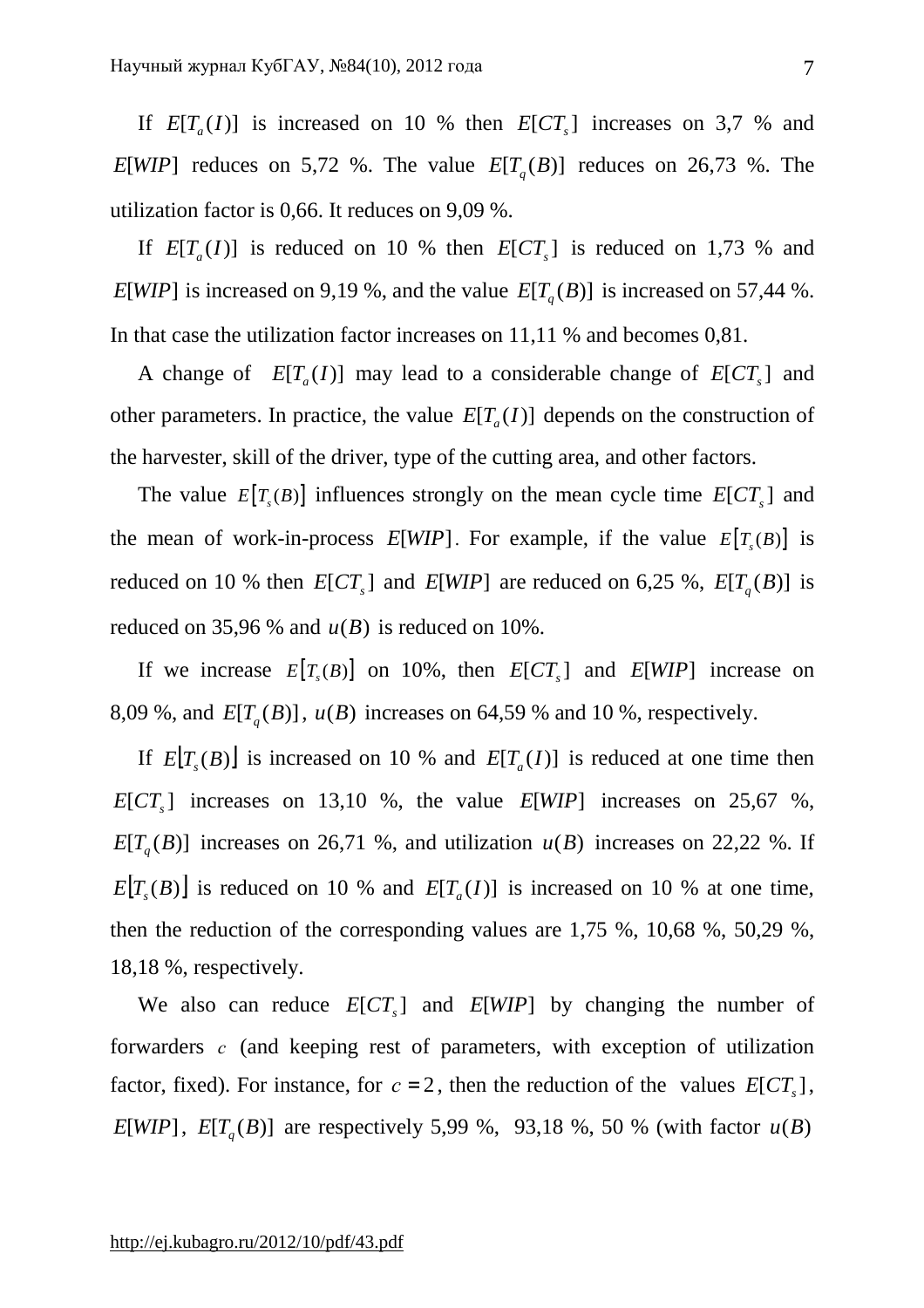If  $E[T_a(I)]$  is increased on 10 % then  $E[CT_s]$  increases on 3,7 % and *E*[*WIP*] reduces on 5,72 %. The value  $E[T_q(B)]$  reduces on 26,73 %. The utilization factor is 0,66. It reduces on 9,09 %.

If  $E[T_a(I)]$  is reduced on 10 % then  $E[CT_s]$  is reduced on 1,73 % and *E*[*WIP*] is increased on 9,19 %, and the value  $E[T_q(B)]$  is increased on 57,44 %. In that case the utilization factor increases on 11,11 % and becomes 0,81.

A change of  $E[T_a(I)]$  may lead to a considerable change of  $E[CT_s]$  and other parameters. In practice, the value  $E[T_a(I)]$  depends on the construction of the harvester, skill of the driver, type of the cutting area, and other factors.

The value  $E[T_s(B)]$  influences strongly on the mean cycle time  $E[CT_s]$  and the mean of work-in-process  $E[WIP]$ . For example, if the value  $E[T_s(B)]$  is reduced on 10 % then  $E[CT_s]$  and  $E[WIP]$  are reduced on 6,25 %,  $E[T_q(B)]$  is reduced on 35,96 % and  $u(B)$  is reduced on 10%.

If we increase  $E[T_s(B)]$  on 10%, then  $E[CT_s]$  and  $E[WIP]$  increase on 8,09 %, and  $E[T_q(B)]$ ,  $u(B)$  increases on 64,59 % and 10 %, respectively.

If  $E[T_s(B)]$  is increased on 10 % and  $E[T_a(I)]$  is reduced at one time then  $E[CT_s]$  increases on 13,10 %, the value  $E[WP]$  increases on 25,67 %,  $E[T_q(B)]$  increases on 26,71 %, and utilization  $u(B)$  increases on 22,22 %. If  $E[T_s(B)]$  is reduced on 10 % and  $E[T_a(I)]$  is increased on 10 % at one time, then the reduction of the corresponding values are 1,75 %, 10,68 %, 50,29 %, 18,18 %, respectively.

We also can reduce  $E[CT_s]$  and  $E[WP]$  by changing the number of forwarders *c* (and keeping rest of parameters, with exception of utilization factor, fixed). For instance, for  $c = 2$ , then the reduction of the values  $E[CT_s]$ , *E*[*WIP*], *E*[*T<sub>q</sub>*(*B*)] are respectively 5,99 %, 93,18 %, 50 % (with factor  $u(B)$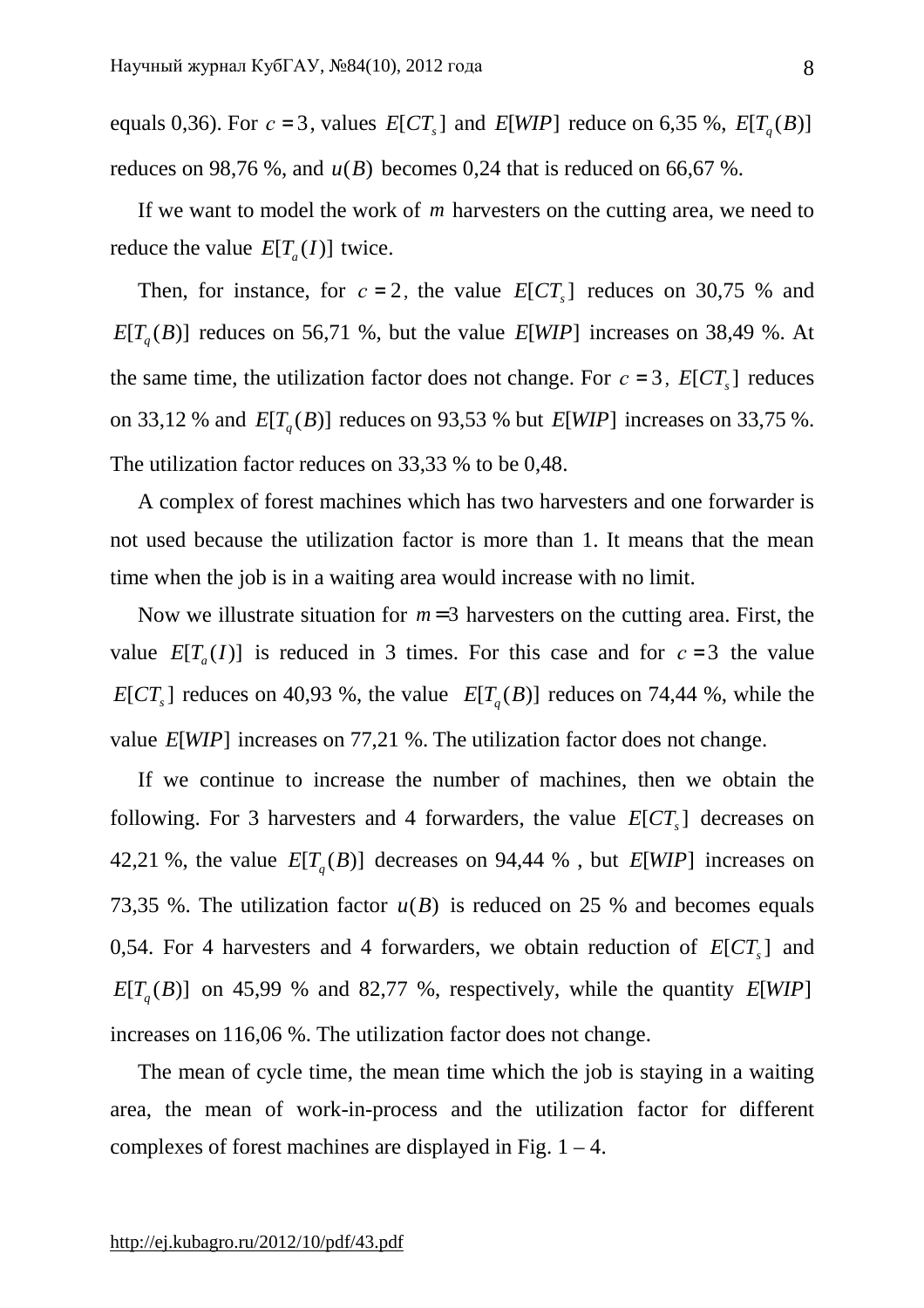equals 0,36). For  $c = 3$ , values  $E[CT_s]$  and  $E[WIP]$  reduce on 6,35 %,  $E[T_q(B)]$ reduces on 98,76 %, and  $u(B)$  becomes 0,24 that is reduced on 66,67 %.

If we want to model the work of *m* harvesters on the cutting area, we need to reduce the value  $E[T_a(I)]$  twice.

Then, for instance, for  $c = 2$ , the value  $E[CT_s]$  reduces on 30,75 % and  $E[T_q(B)]$  reduces on 56,71 %, but the value  $E[WD]$  increases on 38,49 %. At the same time, the utilization factor does not change. For  $c = 3$ ,  $E[CT_s]$  reduces on 33,12 % and  $E[T_q(B)]$  reduces on 93,53 % but  $E[WIP]$  increases on 33,75 %. The utilization factor reduces on 33,33 % to be 0,48.

A complex of forest machines which has two harvesters and one forwarder is not used because the utilization factor is more than 1. It means that the mean time when the job is in a waiting area would increase with no limit.

Now we illustrate situation for  $m=3$  harvesters on the cutting area. First, the value  $E[T_a(I)]$  is reduced in 3 times. For this case and for  $c=3$  the value  $E\left[\frac{CT_s}{} \right]$  reduces on 40,93 %, the value  $E\left[\frac{T_q}{B} \right]$  reduces on 74,44 %, while the value *E*[*WIP*] increases on 77,21 %. The utilization factor does not change.

If we continue to increase the number of machines, then we obtain the following. For 3 harvesters and 4 forwarders, the value  $E[CT_s]$  decreases on 42,21 %, the value  $E[T_q(B)]$  decreases on 94,44 %, but  $E[WIP]$  increases on 73,35 %. The utilization factor  $u(B)$  is reduced on 25 % and becomes equals 0,54. For 4 harvesters and 4 forwarders, we obtain reduction of  $E [CT_s]$  and  $E[T_q(B)]$  on 45,99 % and 82,77 %, respectively, while the quantity  $E[WP]$ increases on 116,06 %. The utilization factor does not change.

The mean of cycle time, the mean time which the job is staying in a waiting area, the mean of work-in-process and the utilization factor for different complexes of forest machines are displayed in Fig.  $1 - 4$ .

8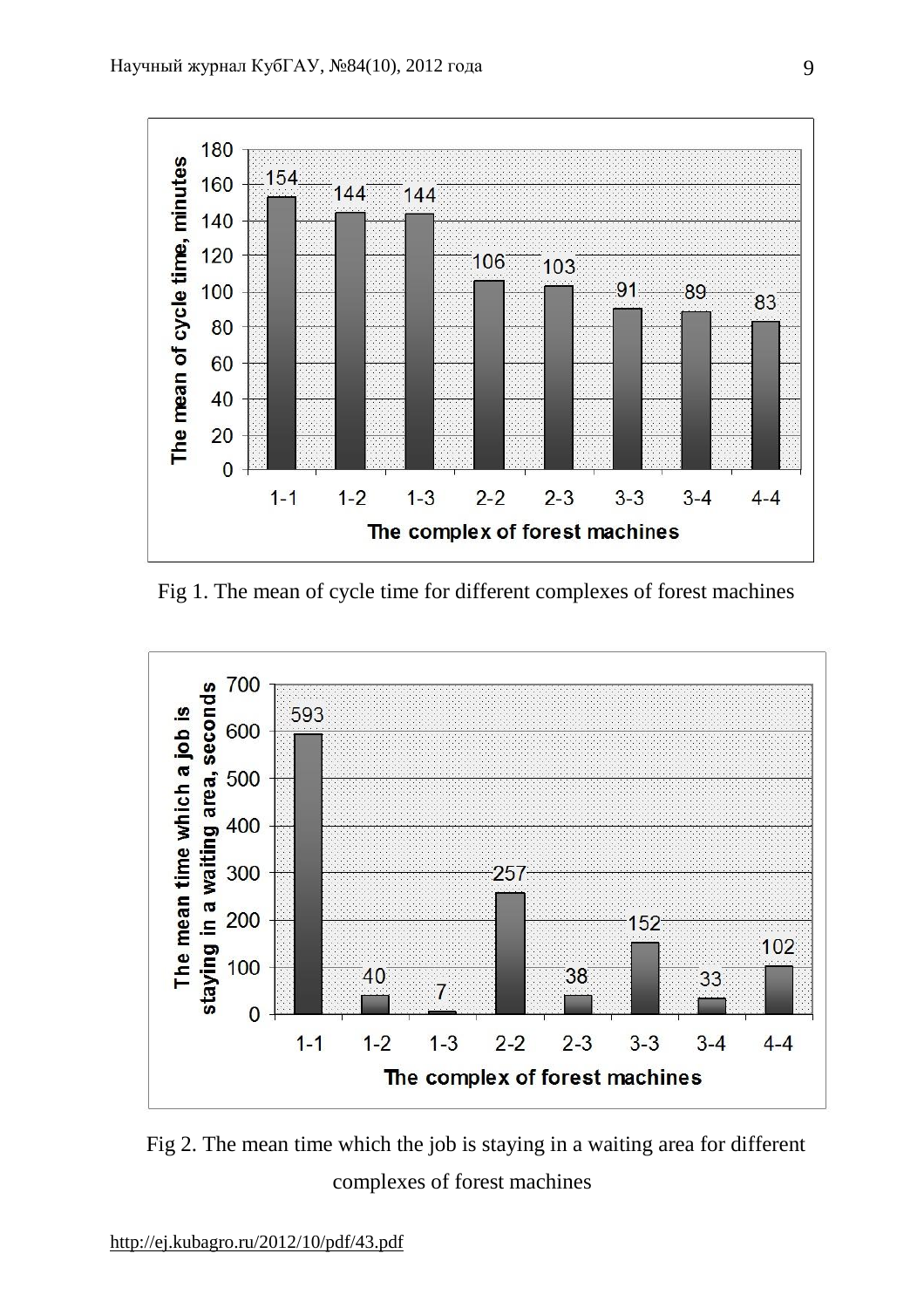

Fig 1. The mean of cycle time for different complexes of forest machines



Fig 2. The mean time which the job is staying in a waiting area for different complexes of forest machines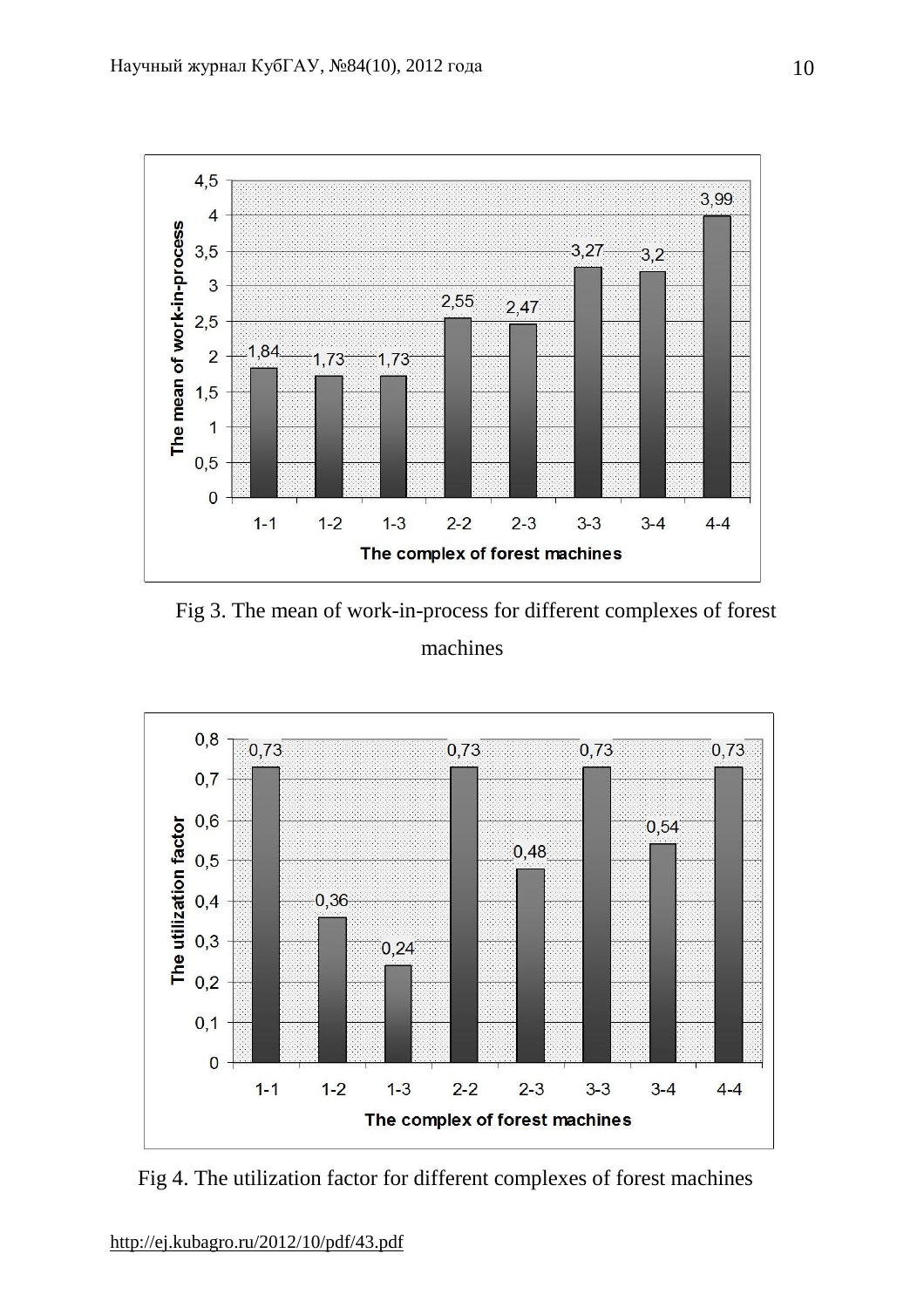

Fig 3. The mean of work-in-process for different complexes of forest machines



Fig 4. The utilization factor for different complexes of forest machines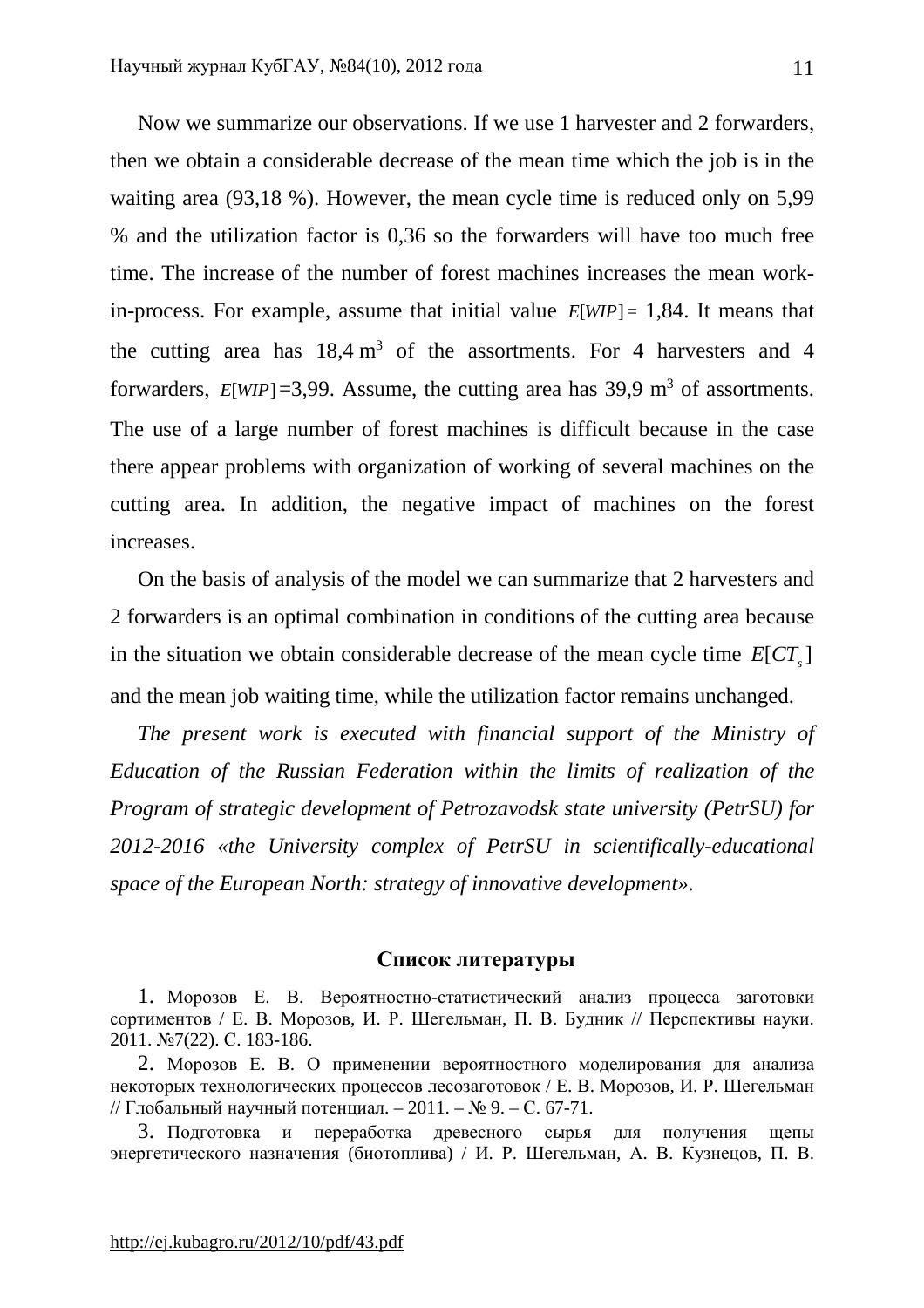Now we summarize our observations. If we use 1 harvester and 2 forwarders, then we obtain a considerable decrease of the mean time which the job is in the waiting area (93,18 %). However, the mean cycle time is reduced only on 5,99 % and the utilization factor is 0,36 so the forwarders will have too much free time. The increase of the number of forest machines increases the mean workin-process. For example, assume that initial value  $E[WD] = 1,84$ . It means that the cutting area has  $18.4 \text{ m}^3$  of the assortments. For 4 harvesters and 4 forwarders,  $E[WIP]=3,99$ . Assume, the cutting area has 39,9 m<sup>3</sup> of assortments. The use of a large number of forest machines is difficult because in the case there appear problems with organization of working of several machines on the cutting area. In addition, the negative impact of machines on the forest increases.

On the basis of analysis of the model we can summarize that 2 harvesters and 2 forwarders is an optimal combination in conditions of the cutting area because in the situation we obtain considerable decrease of the mean cycle time  $E [ C T_s ]$ and the mean job waiting time, while the utilization factor remains unchanged.

*The present work is executed with financial support of the Ministry of Education of the Russian Federation within the limits of realization of the Program of strategic development of Petrozavodsk state university (PetrSU) for 2012-2016 «the University complex of PetrSU in scientifically-educational space of the European North: strategy of innovative development».* 

## **Список литературы**

1. Морозов Е. В. Вероятностно-статистический анализ процесса заготовки сортиментов / Е. В. Морозов, И. Р. Шегельман, П. В. Будник // Перспективы науки. 2011. №7(22). С. 183-186.

2. Морозов Е. В. О применении вероятностного моделирования для анализа некоторых технологических процессов лесозаготовок / Е. В. Морозов, И. Р. Шегельман // Глобальный научный потенциал. – 2011. – № 9. – С. 67-71.

3. Подготовка и переработка древесного сырья для получения щепы энергетического назначения (биотоплива) / И. Р. Шегельман, А. В. Кузнецов, П. В.